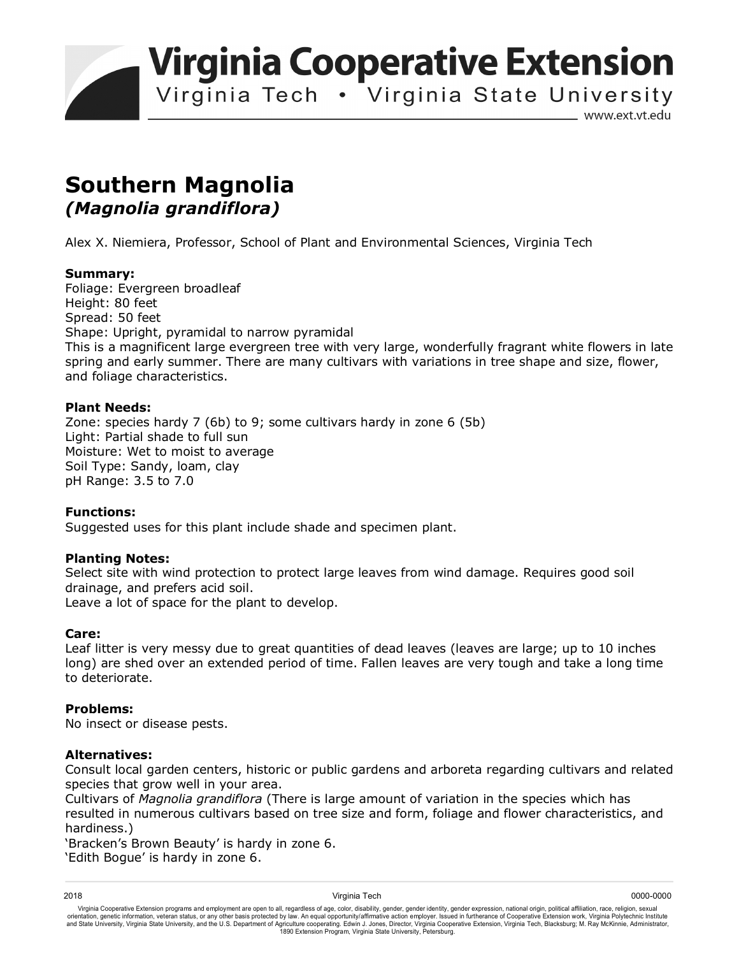**Virginia Cooperative Extension** 

Virginia Tech • Virginia State University

www.ext.vt.edu

# **Southern Magnolia**  *(Magnolia grandiflora)*

Alex X. Niemiera, Professor, School of Plant and Environmental Sciences, Virginia Tech

## **Summary:**

Foliage: Evergreen broadleaf Height: 80 feet Spread: 50 feet Shape: Upright, pyramidal to narrow pyramidal This is a magnificent large evergreen tree with very large, wonderfully fragrant white flowers in late spring and early summer. There are many cultivars with variations in tree shape and size, flower, and foliage characteristics.

## **Plant Needs:**

Zone: species hardy 7 (6b) to 9; some cultivars hardy in zone 6 (5b) Light: Partial shade to full sun Moisture: Wet to moist to average Soil Type: Sandy, loam, clay pH Range: 3.5 to 7.0

# **Functions:**

Suggested uses for this plant include shade and specimen plant.

#### **Planting Notes:**

Select site with wind protection to protect large leaves from wind damage. Requires good soil drainage, and prefers acid soil. Leave a lot of space for the plant to develop.

#### **Care:**

Leaf litter is very messy due to great quantities of dead leaves (leaves are large; up to 10 inches long) are shed over an extended period of time. Fallen leaves are very tough and take a long time to deteriorate.

#### **Problems:**

No insect or disease pests.

#### **Alternatives:**

Consult local garden centers, historic or public gardens and arboreta regarding cultivars and related species that grow well in your area.

Cultivars of *Magnolia grandiflora* (There is large amount of variation in the species which has resulted in numerous cultivars based on tree size and form, foliage and flower characteristics, and hardiness.)

'Bracken's Brown Beauty' is hardy in zone 6.

'Edith Bogue' is hardy in zone 6.